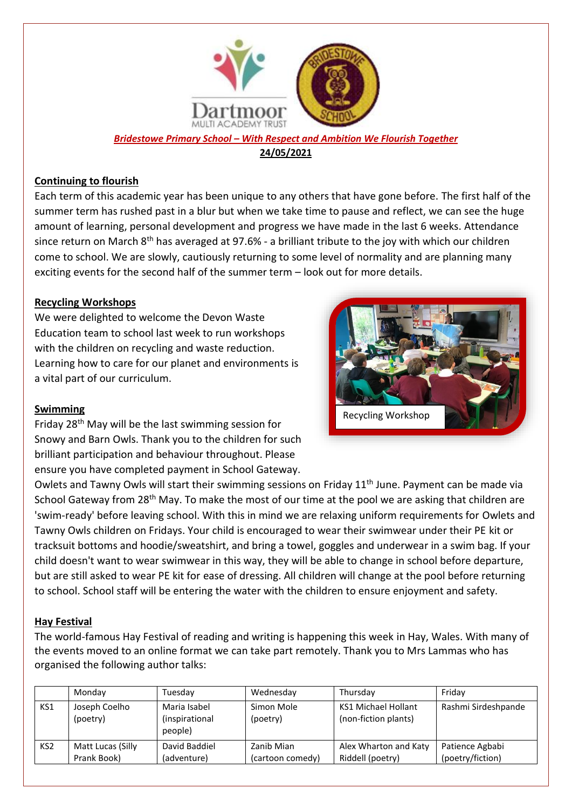

*Bridestowe Primary School – With Respect and Ambition We Flourish Together* **24/05/2021**

## **Continuing to flourish**

Each term of this academic year has been unique to any others that have gone before. The first half of the summer term has rushed past in a blur but when we take time to pause and reflect, we can see the huge amount of learning, personal development and progress we have made in the last 6 weeks. Attendance since return on March 8<sup>th</sup> has averaged at 97.6% - a brilliant tribute to the joy with which our children come to school. We are slowly, cautiously returning to some level of normality and are planning many exciting events for the second half of the summer term – look out for more details.

#### **Recycling Workshops**

We were delighted to welcome the Devon Waste Education team to school last week to run workshops with the children on recycling and waste reduction. Learning how to care for our planet and environments is a vital part of our curriculum.



#### **Swimming**

Friday 28th May will be the last swimming session for Snowy and Barn Owls. Thank you to the children for such brilliant participation and behaviour throughout. Please ensure you have completed payment in School Gateway.

Owlets and Tawny Owls will start their swimming sessions on Friday 11<sup>th</sup> June. Payment can be made via School Gateway from 28<sup>th</sup> May. To make the most of our time at the pool we are asking that children are 'swim-ready' before leaving school. With this in mind we are relaxing uniform requirements for Owlets and Tawny Owls children on Fridays. Your child is encouraged to wear their swimwear under their PE kit or tracksuit bottoms and hoodie/sweatshirt, and bring a towel, goggles and underwear in a swim bag. If your child doesn't want to wear swimwear in this way, they will be able to change in school before departure, but are still asked to wear PE kit for ease of dressing. All children will change at the pool before returning to school. School staff will be entering the water with the children to ensure enjoyment and safety.

## **Hay Festival**

The world-famous Hay Festival of reading and writing is happening this week in Hay, Wales. With many of the events moved to an online format we can take part remotely. Thank you to Mrs Lammas who has organised the following author talks:

|                 | Mondav                           | Tuesdav                                   | Wednesday                      | Thursday                                    | Fridav                              |
|-----------------|----------------------------------|-------------------------------------------|--------------------------------|---------------------------------------------|-------------------------------------|
| KS1             | Joseph Coelho<br>(poetry)        | Maria Isabel<br>(inspirational<br>people) | Simon Mole<br>(poetry)         | KS1 Michael Hollant<br>(non-fiction plants) | Rashmi Sirdeshpande                 |
| KS <sub>2</sub> | Matt Lucas (Silly<br>Prank Book) | David Baddiel<br>(adventure)              | Zanib Mian<br>(cartoon comedy) | Alex Wharton and Katy<br>Riddell (poetry)   | Patience Agbabi<br>(poetry/fiction) |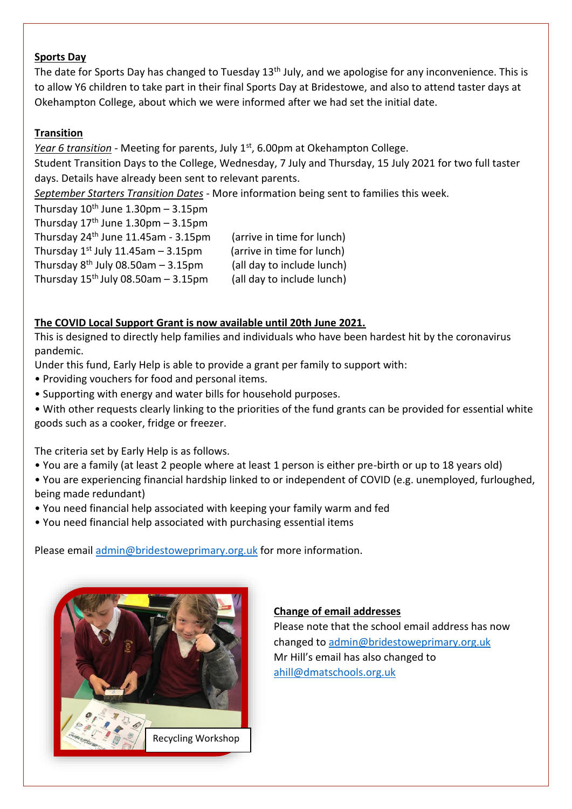#### **Sports Day**

The date for Sports Day has changed to Tuesday 13<sup>th</sup> July, and we apologise for any inconvenience. This is to allow Y6 children to take part in their final Sports Day at Bridestowe, and also to attend taster days at Okehampton College, about which we were informed after we had set the initial date.

#### **Transition**

*Year 6 transition* - Meeting for parents, July 1<sup>st</sup>, 6.00pm at Okehampton College.

Student Transition Days to the College, Wednesday, 7 July and Thursday, 15 July 2021 for two full taster days. Details have already been sent to relevant parents.

*September Starters Transition Dates* - More information being sent to families this week.

Thursday  $10^{th}$  June 1.30pm – 3.15pm Thursday  $17<sup>th</sup>$  June 1.30pm – 3.15pm Thursday 24th June 11.45am - 3.15pm (arrive in time for lunch) Thursday  $1^{st}$  July 11.45am – 3.15pm (arrive in time for lunch) Thursday  $8^{th}$  July 08.50am – 3.15pm (all day to include lunch) Thursday  $15^{th}$  July 08.50am  $-3.15$ pm (all day to include lunch)

# **The COVID Local Support Grant is now available until 20th June 2021.**

This is designed to directly help families and individuals who have been hardest hit by the coronavirus pandemic.

Under this fund, Early Help is able to provide a grant per family to support with:

- Providing vouchers for food and personal items.
- Supporting with energy and water bills for household purposes.
- With other requests clearly linking to the priorities of the fund grants can be provided for essential white goods such as a cooker, fridge or freezer.

The criteria set by Early Help is as follows.

- You are a family (at least 2 people where at least 1 person is either pre-birth or up to 18 years old)
- You are experiencing financial hardship linked to or independent of COVID (e.g. unemployed, furloughed, being made redundant)
- You need financial help associated with keeping your family warm and fed
- You need financial help associated with purchasing essential items

Please email [admin@bridestoweprimary.org.uk](mailto:admin@bridestoweprimary.org.uk) for more information.



## **Change of email addresses**

Please note that the school email address has now changed to [admin@bridestoweprimary.org.uk](mailto:admin@bridestoweprimary.org.uk) Mr Hill's email has also changed to [ahill@dmatschools.org.uk](mailto:ahill@dmatschools.org.uk)